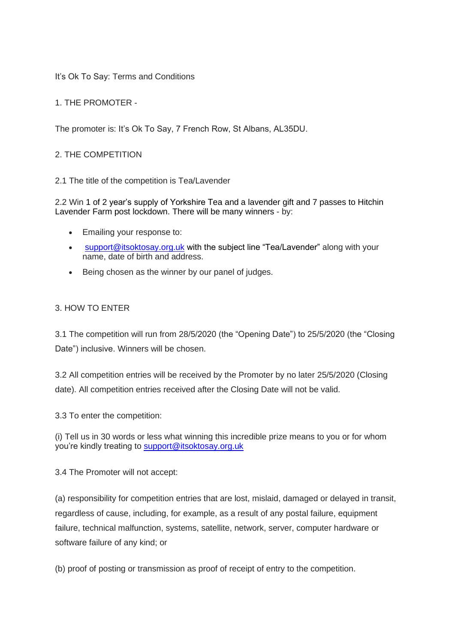It's Ok To Say: Terms and Conditions

1. THE PROMOTER -

The promoter is: It's Ok To Say, 7 French Row, St Albans, AL35DU.

### 2. THE COMPETITION

2.1 The title of the competition is Tea/Lavender

2.2 Win 1 of 2 year's supply of Yorkshire Tea and a lavender gift and 7 passes to Hitchin Lavender Farm post lockdown. There will be many winners - by:

- Emailing your response to:
- [support@itsoktosay.org.uk](mailto:support@itsoktosay.org.uk) with the subject line "Tea/Lavender" along with your name, date of birth and address.
- Being chosen as the winner by our panel of judges.

#### 3. HOW TO ENTER

3.1 The competition will run from 28/5/2020 (the "Opening Date") to 25/5/2020 (the "Closing Date") inclusive. Winners will be chosen.

3.2 All competition entries will be received by the Promoter by no later 25/5/2020 (Closing date). All competition entries received after the Closing Date will not be valid.

3.3 To enter the competition:

(i) Tell us in 30 words or less what winning this incredible prize means to you or for whom you're kindly treating to [support@itsoktosay.org.uk](mailto:support@itsoktosay.org.uk)

3.4 The Promoter will not accept:

(a) responsibility for competition entries that are lost, mislaid, damaged or delayed in transit, regardless of cause, including, for example, as a result of any postal failure, equipment failure, technical malfunction, systems, satellite, network, server, computer hardware or software failure of any kind; or

(b) proof of posting or transmission as proof of receipt of entry to the competition.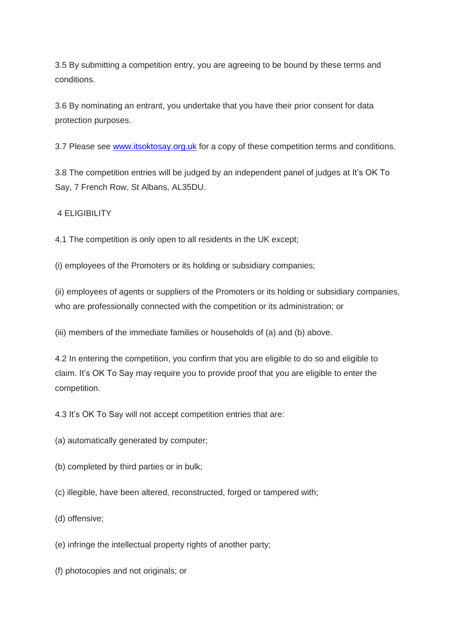3.5 By submitting a competition entry, you are agreeing to be bound by these terms and conditions.

3.6 By nominating an entrant, you undertake that you have their prior consent for data protection purposes.

3.7 Please see [www.itsoktosay.org.uk](http://www.itsoktosay.org.uk/) for a copy of these competition terms and conditions.

3.8 The competition entries will be judged by an independent panel of judges at It's OK To Say, 7 French Row, St Albans, AL35DU.

4 ELIGIBILITY

4.1 The competition is only open to all residents in the UK except;

(i) employees of the Promoters or its holding or subsidiary companies;

(ii) employees of agents or suppliers of the Promoters or its holding or subsidiary companies, who are professionally connected with the competition or its administration; or

(iii) members of the immediate families or households of (a) and (b) above.

4.2 In entering the competition, you confirm that you are eligible to do so and eligible to claim. It's OK To Say may require you to provide proof that you are eligible to enter the competition.

4.3 It's OK To Say will not accept competition entries that are:

(a) automatically generated by computer;

- (b) completed by third parties or in bulk;
- (c) illegible, have been altered, reconstructed, forged or tampered with;

(d) offensive;

(e) infringe the intellectual property rights of another party;

(f) photocopies and not originals; or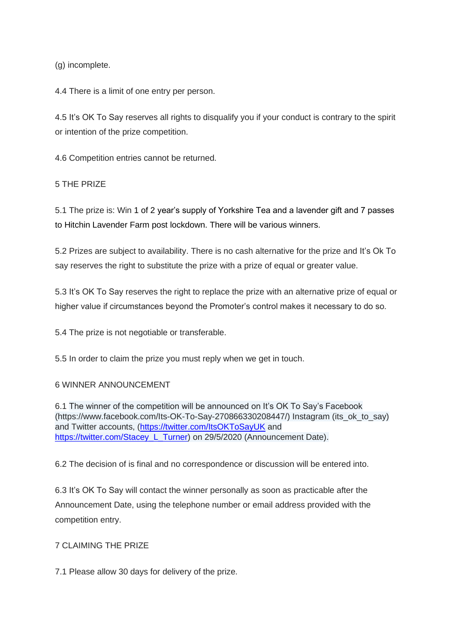(g) incomplete.

4.4 There is a limit of one entry per person.

4.5 It's OK To Say reserves all rights to disqualify you if your conduct is contrary to the spirit or intention of the prize competition.

4.6 Competition entries cannot be returned.

5 THE PRIZE

5.1 The prize is: Win 1 of 2 year's supply of Yorkshire Tea and a lavender gift and 7 passes to Hitchin Lavender Farm post lockdown. There will be various winners.

5.2 Prizes are subject to availability. There is no cash alternative for the prize and It's Ok To say reserves the right to substitute the prize with a prize of equal or greater value.

5.3 It's OK To Say reserves the right to replace the prize with an alternative prize of equal or higher value if circumstances beyond the Promoter's control makes it necessary to do so.

5.4 The prize is not negotiable or transferable.

5.5 In order to claim the prize you must reply when we get in touch.

#### 6 WINNER ANNOUNCEMENT

6.1 The winner of the competition will be announced on It's OK To Say's Facebook (https://www.facebook.com/Its-OK-To-Say-270866330208447/) Instagram (its\_ok\_to\_say) and Twitter accounts, (https://twitter.com/ltsOKToSayUK and [https://twitter.com/Stacey\\_L\\_Turner\)](https://twitter.com/Stacey_L_Turner) on 29/5/2020 (Announcement Date).

6.2 The decision of is final and no correspondence or discussion will be entered into.

6.3 It's OK To Say will contact the winner personally as soon as practicable after the Announcement Date, using the telephone number or email address provided with the competition entry.

#### 7 CLAIMING THE PRIZE

7.1 Please allow 30 days for delivery of the prize.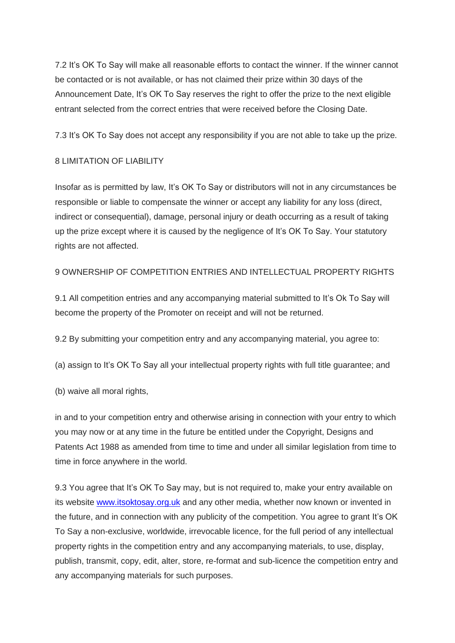7.2 It's OK To Say will make all reasonable efforts to contact the winner. If the winner cannot be contacted or is not available, or has not claimed their prize within 30 days of the Announcement Date, It's OK To Say reserves the right to offer the prize to the next eligible entrant selected from the correct entries that were received before the Closing Date.

7.3 It's OK To Say does not accept any responsibility if you are not able to take up the prize.

## 8 LIMITATION OF LIABILITY

Insofar as is permitted by law, It's OK To Say or distributors will not in any circumstances be responsible or liable to compensate the winner or accept any liability for any loss (direct, indirect or consequential), damage, personal injury or death occurring as a result of taking up the prize except where it is caused by the negligence of It's OK To Say. Your statutory rights are not affected.

## 9 OWNERSHIP OF COMPETITION ENTRIES AND INTELLECTUAL PROPERTY RIGHTS

9.1 All competition entries and any accompanying material submitted to It's Ok To Say will become the property of the Promoter on receipt and will not be returned.

9.2 By submitting your competition entry and any accompanying material, you agree to:

(a) assign to It's OK To Say all your intellectual property rights with full title guarantee; and

(b) waive all moral rights,

in and to your competition entry and otherwise arising in connection with your entry to which you may now or at any time in the future be entitled under the Copyright, Designs and Patents Act 1988 as amended from time to time and under all similar legislation from time to time in force anywhere in the world.

9.3 You agree that It's OK To Say may, but is not required to, make your entry available on its website [www.itsoktosay.org.uk](http://www.itsoktosay.org.uk/) and any other media, whether now known or invented in the future, and in connection with any publicity of the competition. You agree to grant It's OK To Say a non-exclusive, worldwide, irrevocable licence, for the full period of any intellectual property rights in the competition entry and any accompanying materials, to use, display, publish, transmit, copy, edit, alter, store, re-format and sub-licence the competition entry and any accompanying materials for such purposes.